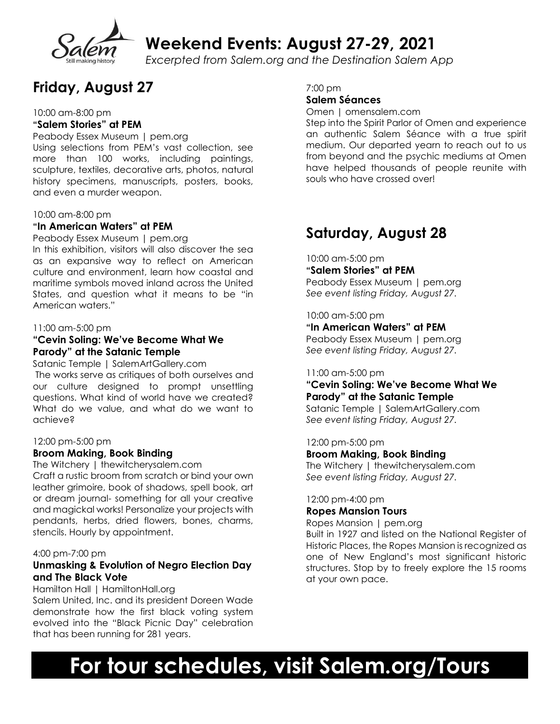

**Weekend Events: August 27-29, 2021**

*Excerpted from Salem.org and the Destination Salem App*

# **Friday, August 27**

10:00 am-8:00 pm

# **"Salem Stories" at PEM**

Peabody Essex Museum | pem.org Using selections from PEM's vast collection, see more than 100 works, including paintings, sculpture, textiles, decorative arts, photos, natural history specimens, manuscripts, posters, books, and even a murder weapon.

#### 10:00 am-8:00 pm

# **"In American Waters" at PEM**

Peabody Essex Museum | pem.org

In this exhibition, visitors will also discover the sea as an expansive way to reflect on American culture and environment, learn how coastal and maritime symbols moved inland across the United States, and question what it means to be "in American waters."

#### 11:00 am-5:00 pm

# **"Cevin Soling: We've Become What We Parody" at the Satanic Temple**

Satanic Temple | SalemArtGallery.com The works serve as critiques of both ourselves and our culture designed to prompt unsettling questions. What kind of world have we created? What do we value, and what do we want to achieve?

#### 12:00 pm-5:00 pm

# **Broom Making, Book Binding**

The Witchery | thewitcherysalem.com Craft a rustic broom from scratch or bind your own leather grimoire, book of shadows, spell book, art or dream journal- something for all your creative and magickal works! Personalize your projects with pendants, herbs, dried flowers, bones, charms, stencils. Hourly by appointment.

# 4:00 pm-7:00 pm

# **Unmasking & Evolution of Negro Election Day and The Black Vote**

Hamilton Hall | HamiltonHall.org

 Salem United, Inc. and its president Doreen Wade demonstrate how the first black voting system evolved into the "Black Picnic Day" celebration that has been running for 281 years.

7:00 pm

# **Salem Séances**

Omen | omensalem.com

Step into the Spirit Parlor of Omen and experience an authentic Salem Séance with a true spirit medium. Our departed yearn to reach out to us from beyond and the psychic mediums at Omen have helped thousands of people reunite with souls who have crossed over!

# **Saturday, August 28**

10:00 am-5:00 pm **"Salem Stories" at PEM** Peabody Essex Museum | pem.org *See event listing Friday, August 27.*

10:00 am-5:00 pm

**"In American Waters" at PEM**

Peabody Essex Museum | pem.org *See event listing Friday, August 27.*

#### 11:00 am-5:00 pm

# **"Cevin Soling: We've Become What We Parody" at the Satanic Temple**

Satanic Temple | SalemArtGallery.com *See event listing Friday, August 27.*

12:00 pm-5:00 pm

**Broom Making, Book Binding** The Witchery | thewitcherysalem.com

*See event listing Friday, August 27.*

# 12:00 pm-4:00 pm

# **Ropes Mansion Tours**

Ropes Mansion | pem.org

Built in 1927 and listed on the National Register of Historic Places, the Ropes Mansion is recognized as one of New England's most significant historic structures. Stop by to freely explore the 15 rooms at your own pace.

# **For tour schedules, visit Salem.org/Tours**